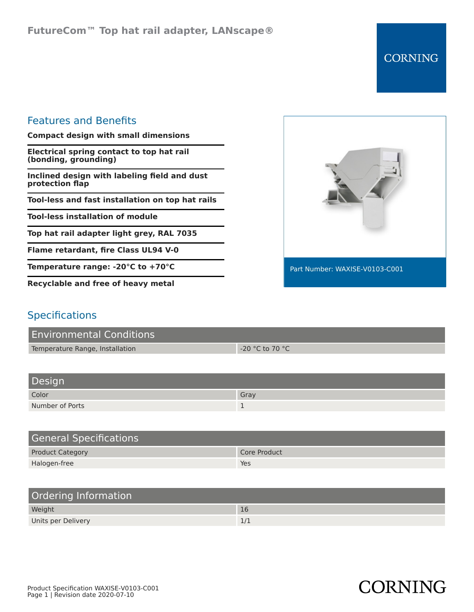**CORNING** 

## Features and Benefits

**Compact design with small dimensions**

**Electrical spring contact to top hat rail (bonding, grounding)**

**Inclined design with labeling field and dust protection flap**

**Tool-less and fast installation on top hat rails**

**Tool-less installation of module**

**Top hat rail adapter light grey, RAL 7035**

**Flame retardant, fire Class UL94 V-0**

**Temperature range: -20°C to +70°C**

**Recyclable and free of heavy metal**



## **Specifications**

| <b>Environmental Conditions</b> |                   |
|---------------------------------|-------------------|
| Temperature Range, Installation | $-20$ °C to 70 °C |

| Design          |      |
|-----------------|------|
| Color           | Gray |
| Number of Ports |      |

| <b>General Specifications</b> |              |
|-------------------------------|--------------|
| <b>Product Category</b>       | Core Product |
| Halogen-free                  | Yes          |

| Ordering Information |     |
|----------------------|-----|
| Weight               | 16  |
| Units per Delivery   | 1/1 |